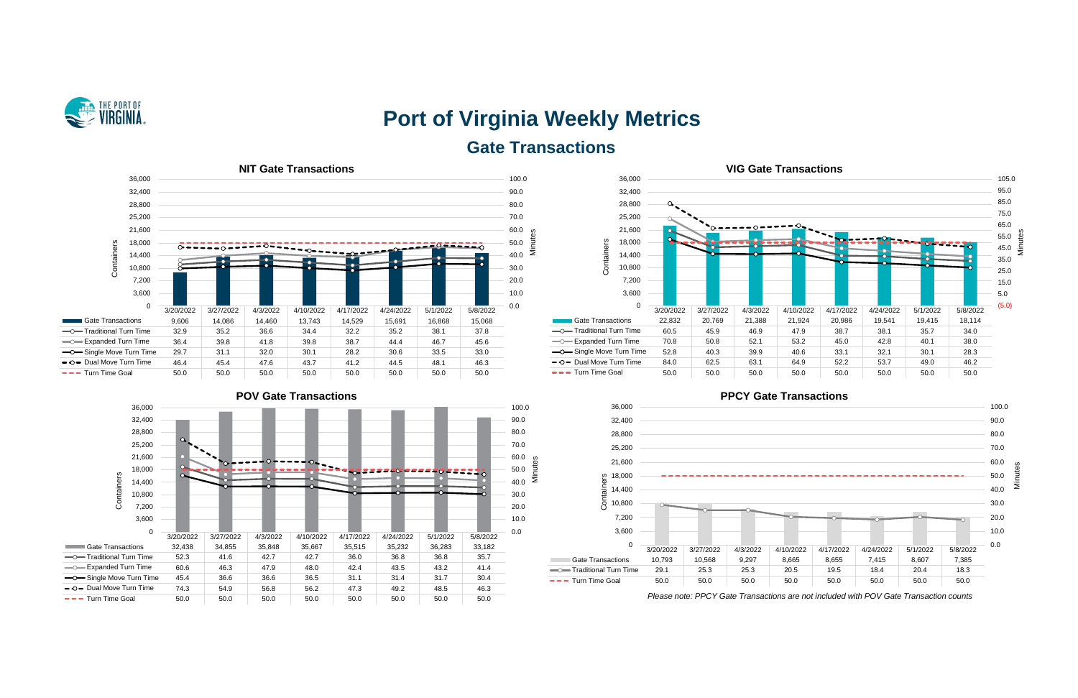

# **Port of Virginia Weekly Metrics Gate Transactions**











*Please note: PPCY Gate Transactions are not included with POV Gate Transaction counts*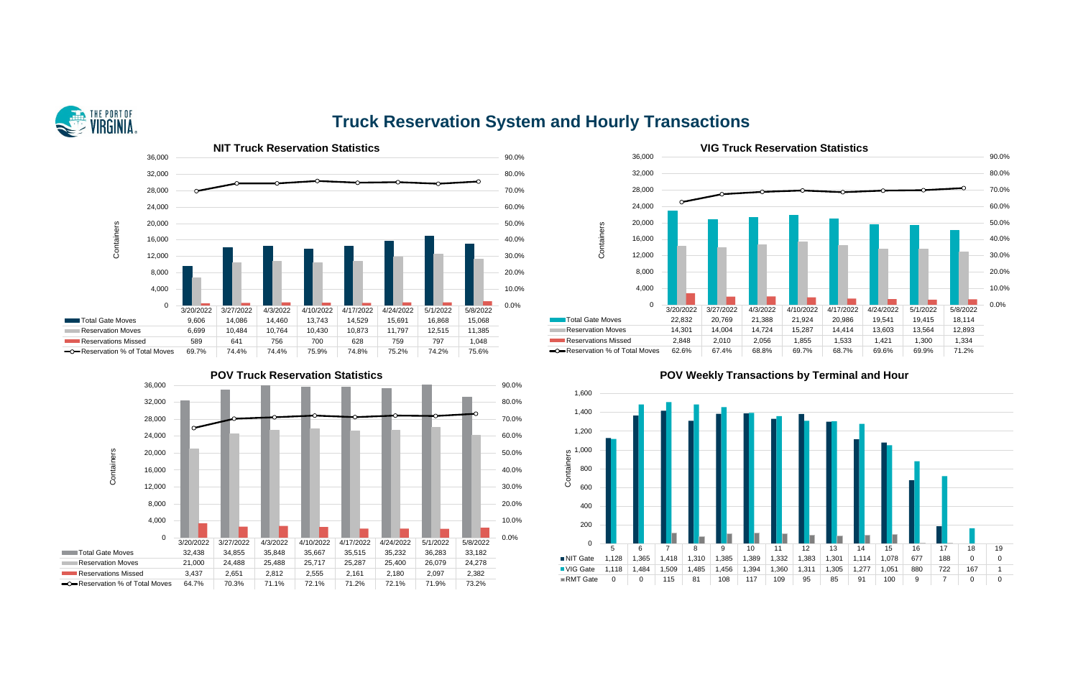

# **Truck Reservation System and Hourly Transactions**







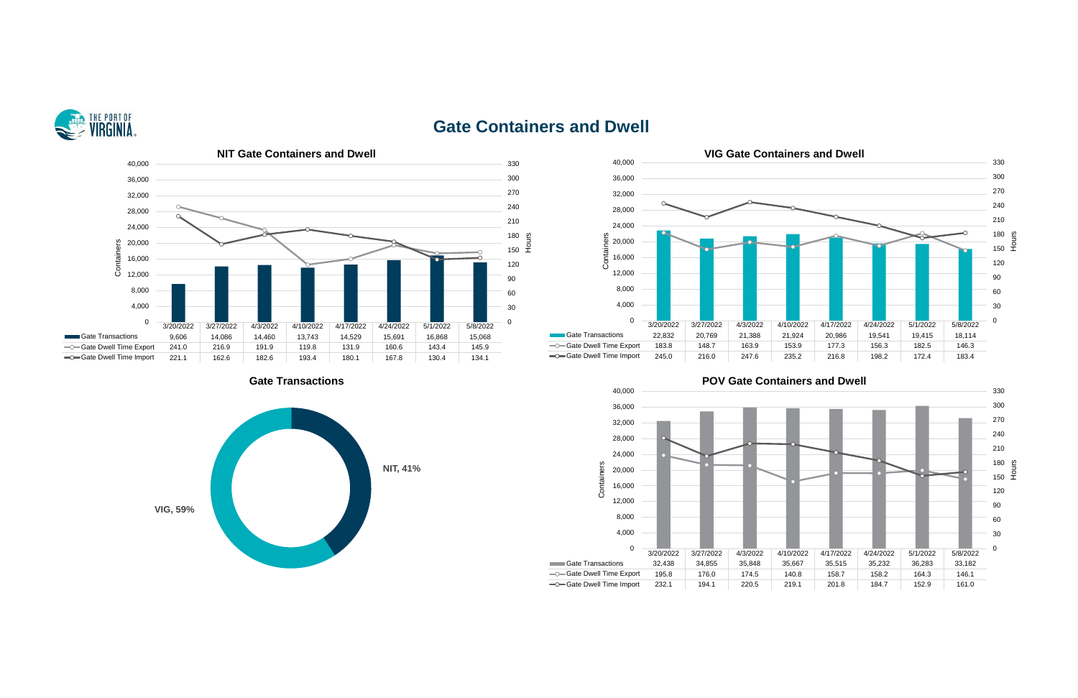

# **Gate Containers and Dwell**